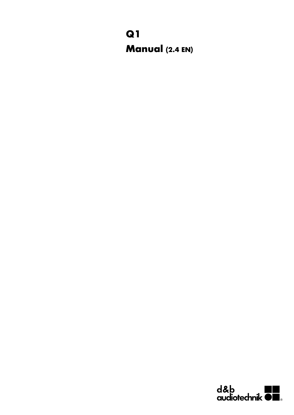## **Q1 Manual (2.4 EN)**

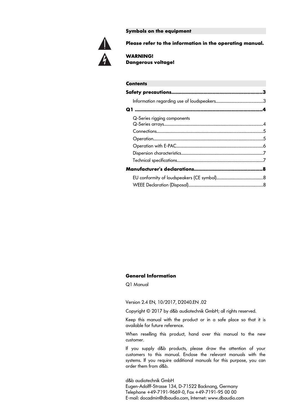**Symbols on the equipment**



**Please refer to the information in the operating manual.**

**WARNING! Dangerous voltage!**

| <b>Contents</b>             |  |
|-----------------------------|--|
|                             |  |
|                             |  |
|                             |  |
| Q-Series rigging components |  |
|                             |  |
|                             |  |
|                             |  |
|                             |  |
|                             |  |
|                             |  |
|                             |  |
|                             |  |

#### **General Information**

Q1 Manual

Version 2.4 EN, 10/2017, D2040.EN .02

Copyright © 2017 by d&b audiotechnik GmbH; all rights reserved.

Keep this manual with the product or in a safe place so that it is available for future reference.

When reselling this product, hand over this manual to the new customer.

If you supply d&b products, please draw the attention of your customers to this manual. Enclose the relevant manuals with the systems. If you require additional manuals for this purpose, you can order them from d&b.

d&b audiotechnik GmbH Eugen-Adolff-Strasse 134, D-71522 Backnang, Germany Telephone +49-7191-9669-0, Fax +49-7191-95 00 00 E-mail: docadmin@dbaudio.com, Internet: www.dbaudio.com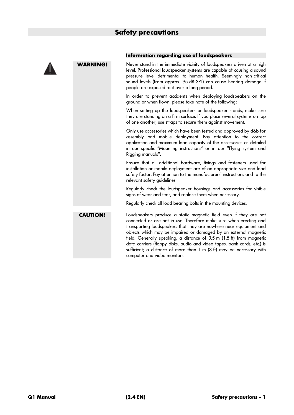

#### **Information regarding use of loudspeakers**

**WARNING!** Never stand in the immediate vicinity of loudspeakers driven at a high level. Professional loudspeaker systems are capable of causing a sound pressure level detrimental to human health. Seemingly non-critical sound levels (from approx. 95 dB-SPL) can cause hearing damage if people are exposed to it over a long period.

> In order to prevent accidents when deploying loudspeakers on the ground or when flown, please take note of the following:

> When setting up the loudspeakers or loudspeaker stands, make sure they are standing on a firm surface. If you place several systems on top of one another, use straps to secure them against movement.

> Only use accessories which have been tested and approved by d&b for assembly and mobile deployment. Pay attention to the correct application and maximum load capacity of the accessories as detailed in our specific "Mounting instructions" or in our "Flying system and Rigging manuals".

> Ensure that all additional hardware, fixings and fasteners used for installation or mobile deployment are of an appropriate size and load safety factor. Pay attention to the manufacturers' instructions and to the relevant safety guidelines.

> Regularly check the loudspeaker housings and accessories for visible signs of wear and tear, and replace them when necessary.

Regularly check all load bearing bolts in the mounting devices.

**CAUTION!** Loudspeakers produce a static magnetic field even if they are not connected or are not in use. Therefore make sure when erecting and transporting loudspeakers that they are nowhere near equipment and objects which may be impaired or damaged by an external magnetic field. Generally speaking, a distance of 0.5 m (1.5 ft) from magnetic data carriers (floppy disks, audio and video tapes, bank cards, etc.) is sufficient; a distance of more than 1 m (3 ft) may be necessary with computer and video monitors.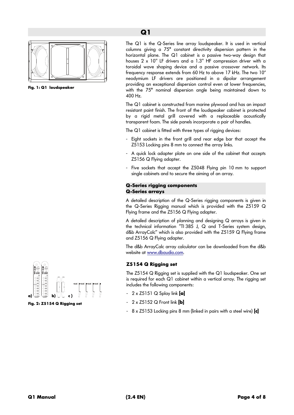

**Fig. 1: Q1 loudspeaker**

The Q1 is the Q-Series line array loudspeaker. It is used in vertical columns giving a 75° constant directivity dispersion pattern in the horizontal plane. The Q1 cabinet is a passive two-way design that houses 2 x 10" LF drivers and a 1.3" HF compression driver with a toroidal wave shaping device and a passive crossover network. Its frequency response extends from 60 Hz to above 17 kHz. The two 10" neodymium LF drivers are positioned in a dipolar arrangement providing an exceptional dispersion control even at lower frequencies, with the 75° nominal dispersion angle being maintained down to 400 Hz.

The Q1 cabinet is constructed from marine plywood and has an impact resistant paint finish. The front of the loudspeaker cabinet is protected by a rigid metal grill covered with a replaceable acoustically transparent foam. The side panels incorporate a pair of handles.

The Q1 cabinet is fitted with three types of rigging devices:

- Eight sockets in the front grill and rear edge bar that accept the Z5153 Locking pins 8 mm to connect the array links.
- A quick lock adapter plate on one side of the cabinet that accepts Z5156 Q Flying adapter.
- Five sockets that accept the Z5048 Flying pin 10 mm to support single cabinets and to secure the aiming of an array.

#### **Q-Series rigging components Q-Series arrays**

A detailed description of the Q-Series rigging components is given in the Q-Series Rigging manual which is provided with the Z5159 Q Flying frame and the Z5156 Q Flying adapter.

A detailed description of planning and designing Q arrays is given in the technical information "TI 385 J, Q and T-Series system design, d&b ArrayCalc" which is also provided with the Z5159 Q Flying frame and Z5156 Q Flying adapter.

The d&b ArrayCalc array calculator can be downloaded from the d&b website at [www.dbaudio.com](http://www.dbaudio.com/).

#### **Z5154 Q Rigging set**

The Z5154 Q Rigging set is supplied with the Q1 loudspeaker. One set is required for each Q1 cabinet within a vertical array. The rigging set includes the following components:

- 2 x Z5151 Q Splay link **[a]**
- 2 x Z5152 Q Front link **[b]**
- 8 x Z5153 Locking pins 8 mm (linked in pairs with a steel wire) **[c]**



**Fig. 2: Z5154 Q Rigging set**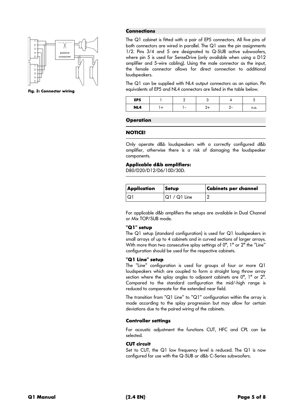

**Fig. 3: Connector wiring**

#### **Connections**

The Q1 cabinet is fitted with a pair of EP5 connectors. All five pins of both connectors are wired in parallel. The Q1 uses the pin assignments 1/2. Pins 3/4 and 5 are designated to Q-SUB active subwoofers, where pin 5 is used for SenseDrive (only available when using a D12 amplifier and 5-wire cabling). Using the male connector as the input, the female connector allows for direct connection to additional loudspeakers.

The Q1 can be supplied with NL4 output connectors as an option. Pin equivalents of EP5 and NL4 connectors are listed in the table below.

| EP5 |  |          |      |
|-----|--|----------|------|
| NL4 |  | <u>.</u> | n.a. |

#### **Operation**

#### **NOTICE!**

Only operate d&b loudspeakers with a correctly configured d&b amplifier, otherwise there is a risk of damaging the loudspeaker components.

#### **Applicable d&b amplifiers:**

D80/D20/D12/D6/10D/30D.

| Application | <b>Setup</b> | <b>Cabinets per channel</b> |
|-------------|--------------|-----------------------------|
|             | Q1 / Q1 Line |                             |

For applicable d&b amplifiers the setups are available in Dual Channel or Mix TOP/SUB mode.

#### **"Q1" setup**

The Q1 setup (standard configuration) is used for Q1 loudspeakers in small arrays of up to 4 cabinets and in curved sections of larger arrays. With more than two consecutive splay settings of  $0^{\circ}$ ,  $1^{\circ}$  or  $2^{\circ}$  the "Line" configuration should be used for the respective cabinets.

#### **"Q1 Line" setup**

The "Line" configuration is used for groups of four or more Q1 loudspeakers which are coupled to form a straight long throw array section where the splay angles to adjacent cabinets are 0°, 1° or 2°. Compared to the standard configuration the mid/-high range is reduced to compensate for the extended near field.

The transition from "Q1 Line" to "Q1" configuration within the array is made according to the splay progression but may allow for certain deviations due to the paired wiring of the cabinets.

#### **Controller settings**

For acoustic adjustment the functions CUT, HFC and CPL can be selected.

#### **CUT circuit**

Set to CUT, the Q1 low frequency level is reduced. The Q1 is now configured for use with the Q-SUB or d&b C-Series subwoofers.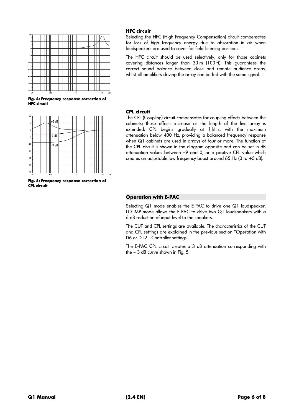

**Fig. 4: Frequency response correction of HFC circuit** 



**Fig. 5: Frequency response correction of CPL circuit**

#### **HFC circuit**

Selecting the HFC (High Frequency Compensation) circuit compensates for loss of high frequency energy due to absorption in air when loudspeakers are used to cover far field listening positions.

The HFC circuit should be used selectively, only for those cabinets covering distances larger than 30 m (100 ft). This guarantees the correct sound balance between close and remote audience areas, whilst all amplifiers driving the array can be fed with the same signal.

#### **CPL circuit**

The CPL (Coupling) circuit compensates for coupling effects between the cabinets; these effects increase as the length of the line array is extended. CPL begins gradually at 1 kHz, with the maximum attenuation below 400 Hz, providing a balanced frequency response when Q1 cabinets are used in arrays of four or more. The function of the CPL circuit is shown in the diagram opposite and can be set in dB attenuation values between –9 and 0, or a positive CPL value which creates an adjustable low frequency boost around 65 Hz (0 to +5 dB).

#### **Operation with E-PAC**

Selecting Q1 mode enables the E-PAC to drive one Q1 loudspeaker. LO IMP mode allows the E-PAC to drive two Q1 loudspeakers with a 6 dB reduction of input level to the speakers.

The CUT and CPL settings are available. The characteristics of the CUT and CPL settings are explained in the previous section "Operation with D6 or D12 - Controller settings".

The E-PAC CPL circuit creates a 3 dB attenuation corresponding with the – 3 dB curve shown in Fig. 5.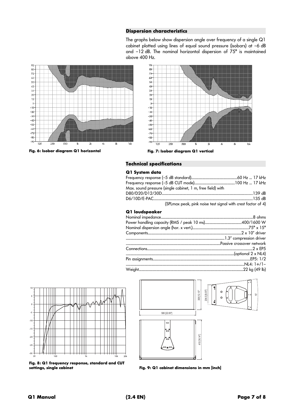#### **Dispersion characteristics**

The graphs below show dispersion angle over frequency of a single Q1 cabinet plotted using lines of equal sound pressure (isobars) at –6 dB and –12 dB. The nominal horizontal dispersion of 75° is maintained above 400 Hz.



**Fig. 6: Isobar diagram Q1 horizontal Fig. 7: Isobar diagram Q1 vertical**



#### **Technical specifications**

#### **Q1 System data**

| Max. sound pressure (single cabinet, 1 m, free field) with   |  |
|--------------------------------------------------------------|--|
|                                                              |  |
|                                                              |  |
| (SPLmax peak, pink noise test signal with crest factor of 4) |  |

#### **Q1 loudspeaker**







**Fig. 9: Q1 cabinet dimensions in mm [inch]**

 $\mathbf{o}$ 

 $-10$  $-15$  $-20$  $\overline{a}$  $-30$